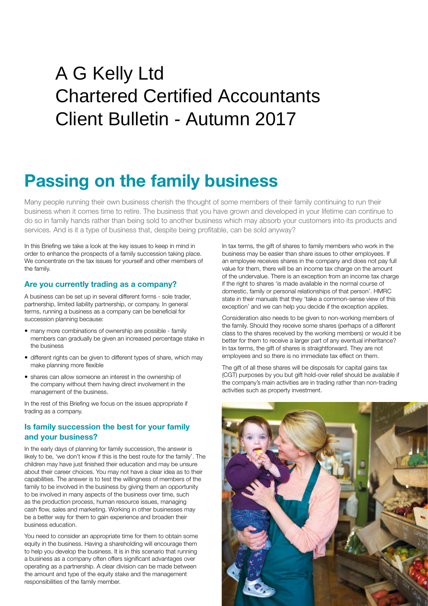## $\sum_{i=1}^{n}$ A G Kelly Ltd Chartered Certified Accountants Client Bulletin - Autumn 2017

# **Passing on the family business**

Many people running their own business cherish the thought of some members of their family continuing to run their business when it comes time to retire. The business that you have grown and developed in your lifetime can continue to do so in family hands rather than being sold to another business which may absorb your customers into its products and services. And is it a type of business that, despite being profitable, can be sold anyway?

In this Briefing we take a look at the key issues to keep in mind in order to enhance the prospects of a family succession taking place. We concentrate on the tax issues for yourself and other members of the family.

#### **Are you currently trading as a company?**

A business can be set up in several different forms - sole trader, partnership, limited liability partnership, or company. In general terms, running a business as a company can be beneficial for succession planning because:

- many more combinations of ownership are possible family members can gradually be given an increased percentage stake in the business
- different rights can be given to different types of share, which may make planning more flexible
- shares can allow someone an interest in the ownership of the company without them having direct involvement in the management of the business.

In the rest of this Briefing we focus on the issues appropriate if trading as a company.

#### **Is family succession the best for your family and your business?**

In the early days of planning for family succession, the answer is likely to be, 'we don't know if this is the best route for the family'. The children may have just finished their education and may be unsure about their career choices. You may not have a clear idea as to their capabilities. The answer is to test the willingness of members of the family to be involved in the business by giving them an opportunity to be involved in many aspects of the business over time, such as the production process, human resource issues, managing cash flow, sales and marketing. Working in other businesses may be a better way for them to gain experience and broaden their business education.

You need to consider an appropriate time for them to obtain some equity in the business. Having a shareholding will encourage them to help you develop the business. It is in this scenario that running a business as a company often offers significant advantages over operating as a partnership. A clear division can be made between the amount and type of the equity stake and the management responsibilities of the family member.

In tax terms, the gift of shares to family members who work in the business may be easier than share issues to other employees. If an employee receives shares in the company and does not pay full value for them, there will be an income tax charge on the amount of the undervalue. There is an exception from an income tax charge if the right to shares 'is made available in the normal course of domestic, family or personal relationships of that person'. HMRC state in their manuals that they 'take a common-sense view of this exception' and we can help you decide if the exception applies.

Consideration also needs to be given to non-working members of the family. Should they receive some shares (perhaps of a different class to the shares received by the working members) or would it be better for them to receive a larger part of any eventual inheritance? In tax terms, the gift of shares is straightforward. They are not employees and so there is no immediate tax effect on them.

The gift of all these shares will be disposals for capital gains tax (CGT) purposes by you but gift hold-over relief should be available if the company's main activities are in trading rather than non-trading activities such as property investment.